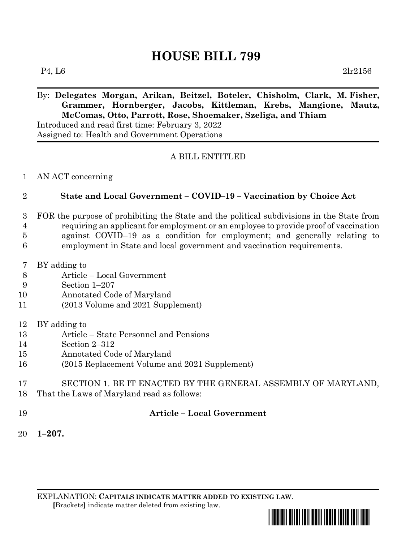# **HOUSE BILL 799**

 $P_4, L6$  2lr2156

# By: **Delegates Morgan, Arikan, Beitzel, Boteler, Chisholm, Clark, M. Fisher, Grammer, Hornberger, Jacobs, Kittleman, Krebs, Mangione, Mautz, McComas, Otto, Parrott, Rose, Shoemaker, Szeliga, and Thiam**

Introduced and read first time: February 3, 2022 Assigned to: Health and Government Operations

## A BILL ENTITLED

#### AN ACT concerning

## **State and Local Government – COVID–19 – Vaccination by Choice Act**

- FOR the purpose of prohibiting the State and the political subdivisions in the State from requiring an applicant for employment or an employee to provide proof of vaccination
- against COVID–19 as a condition for employment; and generally relating to
- employment in State and local government and vaccination requirements.
- BY adding to
- Article Local Government
- Section 1–207
- Annotated Code of Maryland
- (2013 Volume and 2021 Supplement)
- BY adding to
- Article State Personnel and Pensions
- Section 2–312
- Annotated Code of Maryland
- (2015 Replacement Volume and 2021 Supplement)
- SECTION 1. BE IT ENACTED BY THE GENERAL ASSEMBLY OF MARYLAND,
- That the Laws of Maryland read as follows:
- 

## **Article – Local Government**

**1–207.**